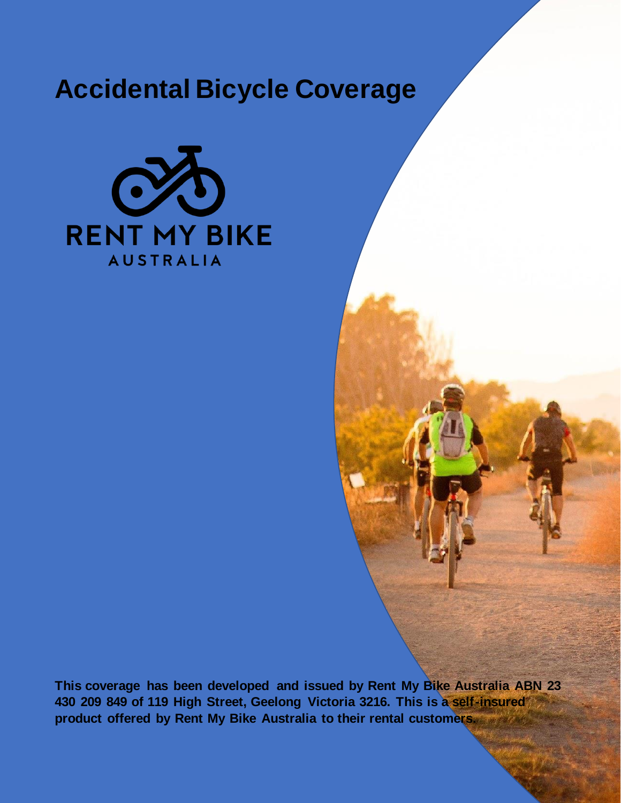# **Accidental Bicycle Coverage**



**This coverage has been developed and issued by Rent My Bike Australia ABN 23 430 209 849 of 119 High Street, Geelong Victoria 3216. This is a self-insured product offered by Rent My Bike Australia to their rental customers.**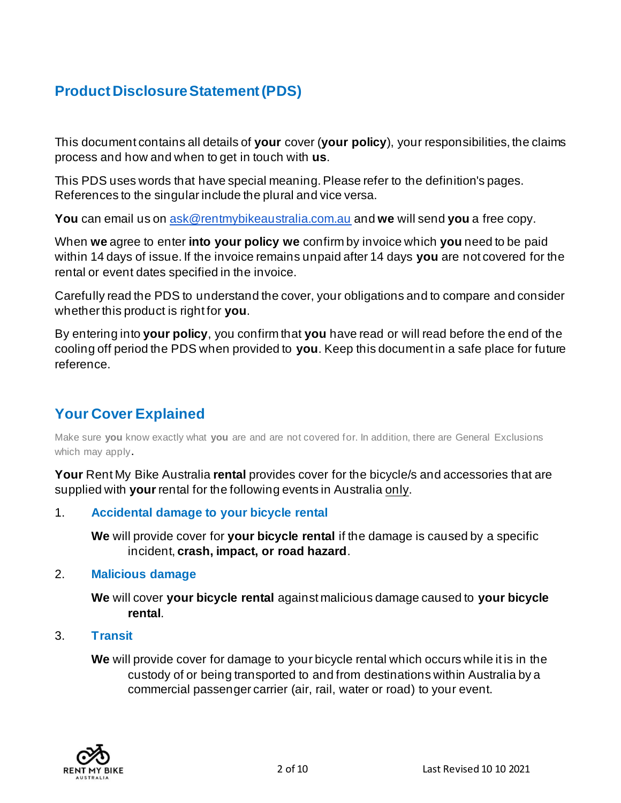# **Product Disclosure Statement (PDS)**

This document contains all details of **your** cover (**your policy**), your responsibilities, the claims process and how and when to get in touch with **us**.

This PDS uses words that have special meaning. Please refer to the definition's pages. References to the singular include the plural and vice versa.

**You** can email us on [ask@rentmybikeaustralia.com.au](mailto:ask@rentmybikeaustralia.com.au) and **we** will send **you** a free copy.

When **we** agree to enter **into your policy we** confirm by invoice which **you** need to be paid within 14 days of issue. If the invoice remains unpaid after 14 days **you** are not covered for the rental or event dates specified in the invoice.

Carefully read the PDS to understand the cover, your obligations and to compare and consider whether this product is right for **you**.

By entering into **your policy**, you confirm that **you** have read or will read before the end of the cooling off period the PDS when provided to **you**. Keep this document in a safe place for future reference.

### **Your Cover Explained**

Make sure **you** know exactly what **you** are and are not covered for. In addition, there are General Exclusions which may apply.

**Your** Rent My Bike Australia **rental** provides cover for the bicycle/s and accessories that are supplied with **your** rental for the following events in Australia only.

#### 1. **Accidental damage to your bicycle rental**

**We** will provide cover for **your bicycle rental** if the damage is caused by a specific incident, **crash, impact, or road hazard**.

#### 2. **Malicious damage**

**We** will cover **your bicycle rental** against malicious damage caused to **your bicycle rental**.

#### 3. **Transit**

**We** will provide cover for damage to your bicycle rental which occurs while it is in the custody of or being transported to and from destinations within Australia by a commercial passenger carrier (air, rail, water or road) to your event.

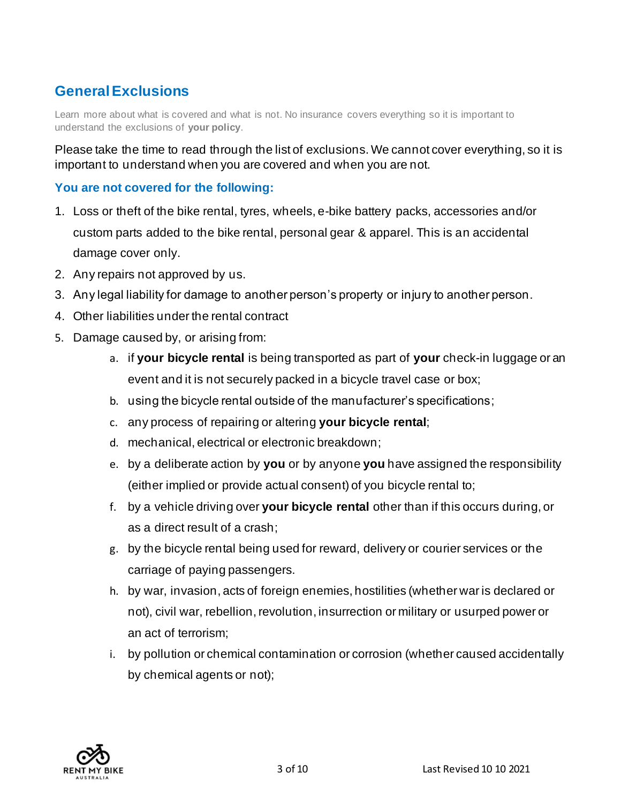## **General Exclusions**

Learn more about what is covered and what is not. No insurance covers everything so it is important to understand the exclusions of **your policy**.

Please take the time to read through the list of exclusions. We cannot cover everything, so it is important to understand when you are covered and when you are not.

### **You are not covered for the following:**

- 1. Loss or theft of the bike rental, tyres, wheels, e-bike battery packs, accessories and/or custom parts added to the bike rental, personal gear & apparel. This is an accidental damage cover only.
- 2. Any repairs not approved by us.
- 3. Any legal liability for damage to another person's property or injury to another person.
- 4. Other liabilities under the rental contract
- 5. Damage caused by, or arising from:
	- a. if **your bicycle rental** is being transported as part of **your** check-in luggage or an event and it is not securely packed in a bicycle travel case or box;
	- b. using the bicycle rental outside of the manufacturer's specifications;
	- c. any process of repairing or altering **your bicycle rental**;
	- d. mechanical, electrical or electronic breakdown;
	- e. by a deliberate action by **you** or by anyone **you** have assigned the responsibility (either implied or provide actual consent) of you bicycle rental to;
	- f. by a vehicle driving over **your bicycle rental** other than if this occurs during, or as a direct result of a crash;
	- g. by the bicycle rental being used for reward, delivery or courier services or the carriage of paying passengers.
	- h. by war, invasion, acts of foreign enemies, hostilities (whether war is declared or not), civil war, rebellion, revolution, insurrection or military or usurped power or an act of terrorism;
	- i. by pollution or chemical contamination or corrosion (whether caused accidentally by chemical agents or not);

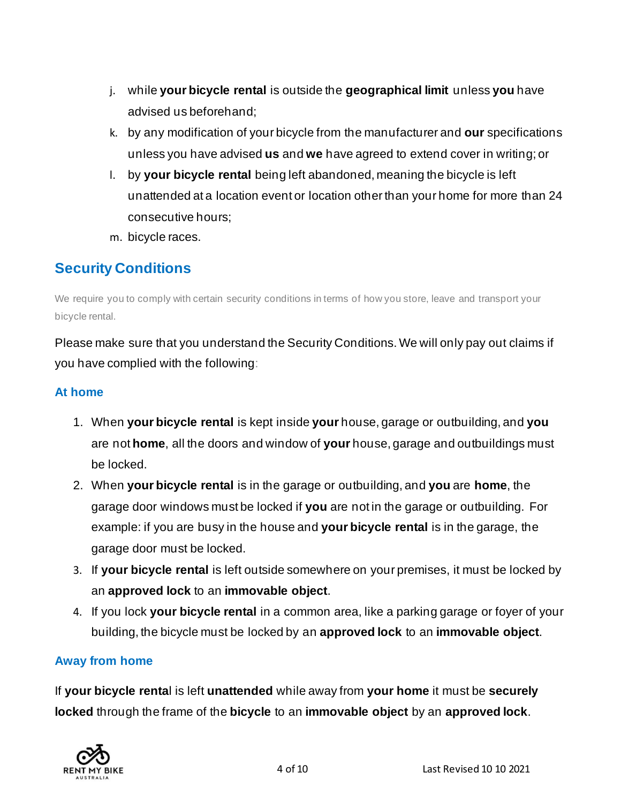- j. while **your bicycle rental** is outside the **geographical limit** unless **you** have advised us beforehand;
- k. by any modification of your bicycle from the manufacturer and **our** specifications unless you have advised **us** and **we** have agreed to extend cover in writing; or
- l. by **your bicycle rental** being left abandoned, meaning the bicycle is left unattended at a location event or location other than your home for more than 24 consecutive hours;
- m. bicycle races.

### **Security Conditions**

We require you to comply with certain security conditions in terms of how you store, leave and transport your bicycle rental.

Please make sure that you understand the Security Conditions. We will only pay out claims if you have complied with the following:

### **At home**

- 1. When **your bicycle rental** is kept inside **your** house, garage or outbuilding, and **you**  are not **home**, all the doors and window of **your** house, garage and outbuildings must be locked.
- 2. When **your bicycle rental** is in the garage or outbuilding, and **you** are **home**, the garage door windows must be locked if **you** are not in the garage or outbuilding. For example: if you are busy in the house and **your bicycle rental** is in the garage, the garage door must be locked.
- 3. If **your bicycle rental** is left outside somewhere on your premises, it must be locked by an **approved lock** to an **immovable object**.
- 4. If you lock **your bicycle rental** in a common area, like a parking garage or foyer of your building, the bicycle must be locked by an **approved lock** to an **immovable object**.

### **Away from home**

If **your bicycle renta**l is left **unattended** while away from **your home** it must be **securely locked** through the frame of the **bicycle** to an **immovable object** by an **approved lock**.

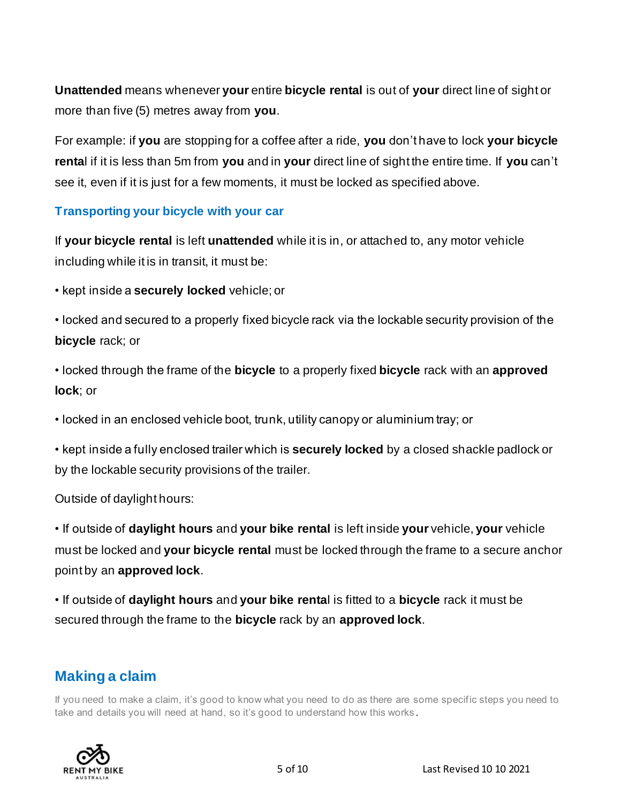**Unattended** means whenever **your** entire **bicycle rental** is out of **your** direct line of sight or more than five (5) metres away from **you**.

For example: if **you** are stopping for a coffee after a ride, **you** don't have to lock **your bicycle renta**l if it is less than 5m from **you** and in **your** direct line of sight the entire time. If **you** can't see it, even if it is just for a few moments, it must be locked as specified above.

### **Transporting your bicycle with your car**

If **your bicycle rental** is left **unattended** while it is in, or attached to, any motor vehicle including while it is in transit, it must be:

• kept inside a **securely locked** vehicle; or

• locked and secured to a properly fixed bicycle rack via the lockable security provision of the **bicycle** rack; or

• locked through the frame of the **bicycle** to a properly fixed **bicycle** rack with an **approved lock**; or

• locked in an enclosed vehicle boot, trunk, utility canopy or aluminium tray; or

• kept inside a fully enclosed trailer which is **securely locked** by a closed shackle padlock or by the lockable security provisions of the trailer.

Outside of daylight hours:

• If outside of **daylight hours** and **your bike rental** is left inside **your** vehicle, **your** vehicle must be locked and **your bicycle rental** must be locked through the frame to a secure anchor point by an **approved lock**.

• If outside of **daylight hours** and **your bike renta**l is fitted to a **bicycle** rack it must be secured through the frame to the **bicycle** rack by an **approved lock**.

### **Making a claim**

If you need to make a claim, it's good to know what you need to do as there are some specific steps you need to take and details you will need at hand, so it's good to understand how this works .

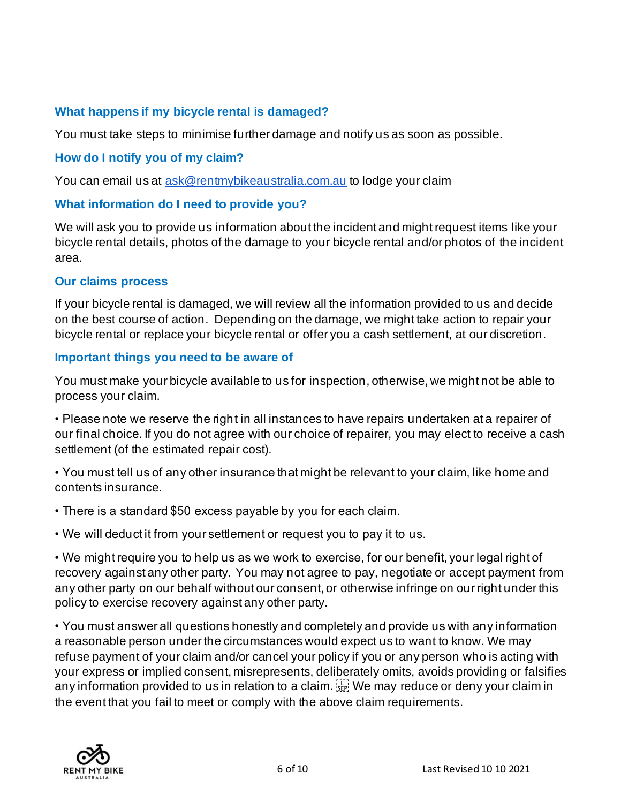### **What happens if my bicycle rental is damaged?**

You must take steps to minimise further damage and notify us as soon as possible.

### **How do I notify you of my claim?**

You can email us at [ask@rentmybikeaustralia.com.au](mailto:ask@rentmybikeaustralia.com.au) to lodge your claim

### **What information do I need to provide you?**

We will ask you to provide us information about the incident and might request items like your bicycle rental details, photos of the damage to your bicycle rental and/or photos of the incident area.

#### **Our claims process**

If your bicycle rental is damaged, we will review all the information provided to us and decide on the best course of action. Depending on the damage, we might take action to repair your bicycle rental or replace your bicycle rental or offer you a cash settlement, at our discretion.

#### **Important things you need to be aware of**

You must make your bicycle available to us for inspection, otherwise, we might not be able to process your claim.

• Please note we reserve the right in all instances to have repairs undertaken at a repairer of our final choice. If you do not agree with our choice of repairer, you may elect to receive a cash settlement (of the estimated repair cost).

• You must tell us of any other insurance that might be relevant to your claim, like home and contents insurance.

- There is a standard \$50 excess payable by you for each claim.
- We will deduct it from your settlement or request you to pay it to us.

• We might require you to help us as we work to exercise, for our benefit, your legal right of recovery against any other party. You may not agree to pay, negotiate or accept payment from any other party on our behalf without our consent, or otherwise infringe on our right under this policy to exercise recovery against any other party.

• You must answer all questions honestly and completely and provide us with any information a reasonable person under the circumstances would expect us to want to know. We may refuse payment of your claim and/or cancel your policy if you or any person who is acting with your express or implied consent, misrepresents, deliberately omits, avoids providing or falsifies any information provided to us in relation to a claim.  $\prod_{s \in \mathbb{N}} W_s$  we may reduce or deny your claim in the event that you fail to meet or comply with the above claim requirements.

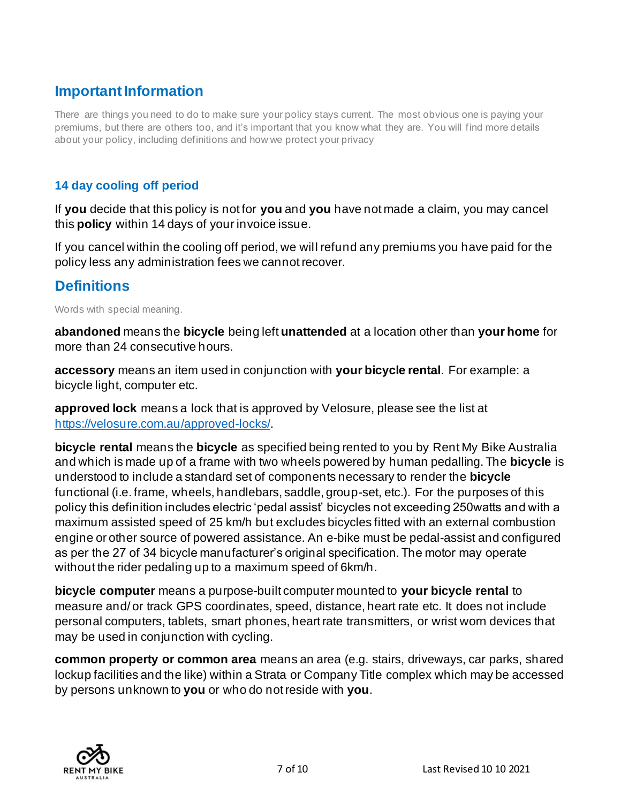### **Important Information**

There are things you need to do to make sure your policy stays current. The most obvious one is paying your premiums, but there are others too, and it's important that you know what they are. You will find more details about your policy, including definitions and how we protect your privacy

### **14 day cooling off period**

If **you** decide that this policy is not for **you** and **you** have not made a claim, you may cancel this **policy** within 14 days of your invoice issue.

If you cancel within the cooling off period, we will refund any premiums you have paid for the policy less any administration fees we cannot recover.

### **Definitions**

Words with special meaning.

**abandoned** means the **bicycle** being left **unattended** at a location other than **your home** for more than 24 consecutive hours.

**accessory** means an item used in conjunction with **your bicycle rental**. For example: a bicycle light, computer etc.

**approved lock** means a lock that is approved by Velosure, please see the list at [https://velosure.com.au/approved-locks/.](https://velosure.com.au/approved-locks/)

**bicycle rental** means the **bicycle** as specified being rented to you by Rent My Bike Australia and which is made up of a frame with two wheels powered by human pedalling. The **bicycle** is understood to include a standard set of components necessary to render the **bicycle**  functional (i.e. frame, wheels, handlebars, saddle, group-set, etc.). For the purposes of this policy this definition includes electric 'pedal assist' bicycles not exceeding 250watts and with a maximum assisted speed of 25 km/h but excludes bicycles fitted with an external combustion engine or other source of powered assistance. An e-bike must be pedal-assist and configured as per the 27 of 34 bicycle manufacturer's original specification. The motor may operate without the rider pedaling up to a maximum speed of 6km/h.

**bicycle computer** means a purpose-built computer mounted to **your bicycle rental** to measure and/ or track GPS coordinates, speed, distance, heart rate etc. It does not include personal computers, tablets, smart phones, heart rate transmitters, or wrist worn devices that may be used in conjunction with cycling.

**common property or common area** means an area (e.g. stairs, driveways, car parks, shared lockup facilities and the like) within a Strata or Company Title complex which may be accessed by persons unknown to **you** or who do not reside with **you**.

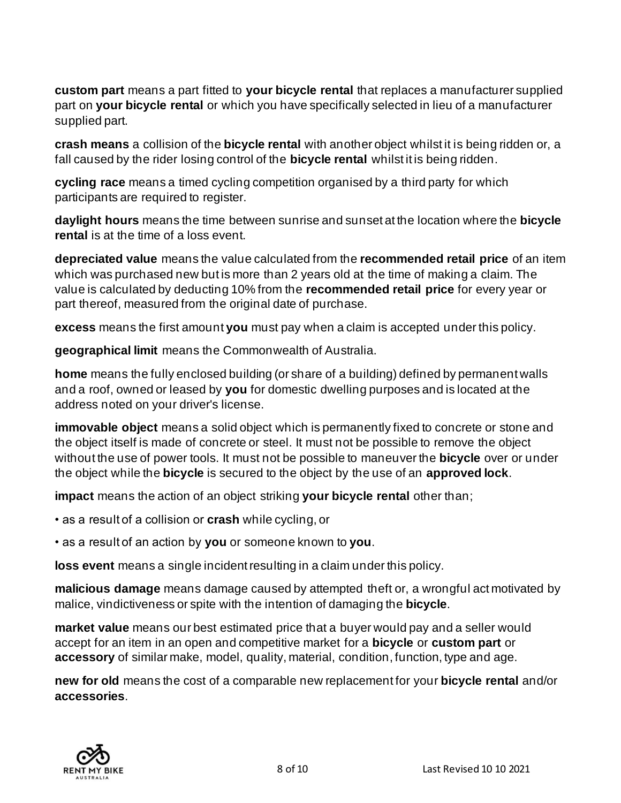**custom part** means a part fitted to **your bicycle rental** that replaces a manufacturer supplied part on **your bicycle rental** or which you have specifically selected in lieu of a manufacturer supplied part.

**crash means** a collision of the **bicycle rental** with another object whilst it is being ridden or, a fall caused by the rider losing control of the **bicycle rental** whilst it is being ridden.

**cycling race** means a timed cycling competition organised by a third party for which participants are required to register.

**daylight hours** means the time between sunrise and sunset at the location where the **bicycle rental** is at the time of a loss event.

**depreciated value** means the value calculated from the **recommended retail price** of an item which was purchased new but is more than 2 years old at the time of making a claim. The value is calculated by deducting 10% from the **recommended retail price** for every year or part thereof, measured from the original date of purchase.

**excess** means the first amount **you** must pay when a claim is accepted under this policy.

**geographical limit** means the Commonwealth of Australia.

**home** means the fully enclosed building (or share of a building) defined by permanent walls and a roof, owned or leased by **you** for domestic dwelling purposes and is located at the address noted on your driver's license.

**immovable object** means a solid object which is permanently fixed to concrete or stone and the object itself is made of concrete or steel. It must not be possible to remove the object without the use of power tools. It must not be possible to maneuver the **bicycle** over or under the object while the **bicycle** is secured to the object by the use of an **approved lock**.

**impact** means the action of an object striking **your bicycle rental** other than;

• as a result of a collision or **crash** while cycling, or

• as a result of an action by **you** or someone known to **you**.

**loss event** means a single incident resulting in a claim under this policy.

**malicious damage** means damage caused by attempted theft or, a wrongful act motivated by malice, vindictiveness or spite with the intention of damaging the **bicycle**.

**market value** means our best estimated price that a buyer would pay and a seller would accept for an item in an open and competitive market for a **bicycle** or **custom part** or **accessory** of similar make, model, quality, material, condition, function, type and age.

**new for old** means the cost of a comparable new replacement for your **bicycle rental** and/or **accessories**.

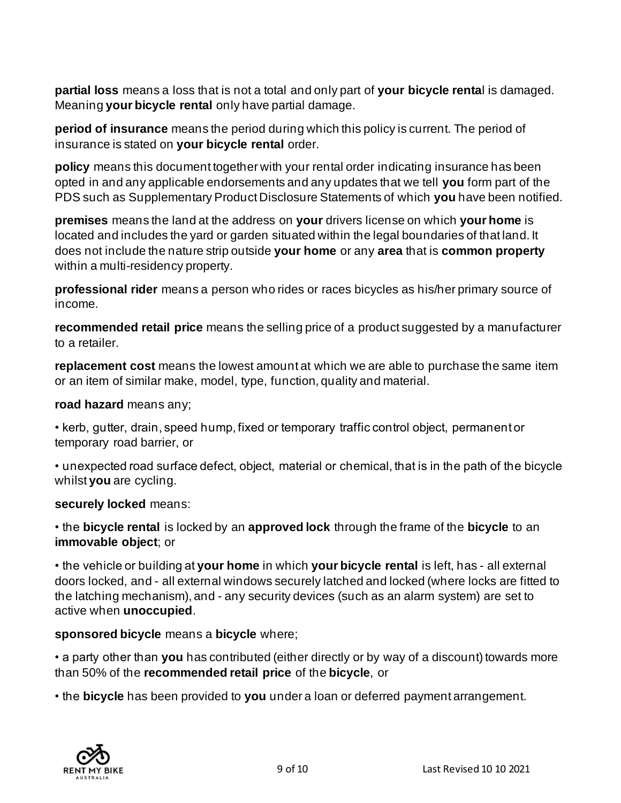**partial loss** means a loss that is not a total and only part of **your bicycle renta**l is damaged. Meaning **your bicycle rental** only have partial damage.

**period of insurance** means the period during which this policy is current. The period of insurance is stated on **your bicycle rental** order.

**policy** means this document together with your rental order indicating insurance has been opted in and any applicable endorsements and any updates that we tell **you** form part of the PDS such as Supplementary Product Disclosure Statements of which **you** have been notified.

**premises** means the land at the address on **your** drivers license on which **your home** is located and includes the yard or garden situated within the legal boundaries of that land. It does not include the nature strip outside **your home** or any **area** that is **common property** within a multi-residency property.

**professional rider** means a person who rides or races bicycles as his/her primary source of income.

**recommended retail price** means the selling price of a product suggested by a manufacturer to a retailer.

**replacement cost** means the lowest amount at which we are able to purchase the same item or an item of similar make, model, type, function, quality and material.

**road hazard** means any;

• kerb, gutter, drain, speed hump, fixed or temporary traffic control object, permanent or temporary road barrier, or

• unexpected road surface defect, object, material or chemical, that is in the path of the bicycle whilst **you** are cycling.

**securely locked** means:

• the **bicycle rental** is locked by an **approved lock** through the frame of the **bicycle** to an **immovable object**; or

• the vehicle or building at **your home** in which **your bicycle rental** is left, has - all external doors locked, and - all external windows securely latched and locked (where locks are fitted to the latching mechanism), and - any security devices (such as an alarm system) are set to active when **unoccupied**.

### **sponsored bicycle** means a **bicycle** where;

• a party other than **you** has contributed (either directly or by way of a discount) towards more than 50% of the **recommended retail price** of the **bicycle**, or

• the **bicycle** has been provided to **you** under a loan or deferred payment arrangement.